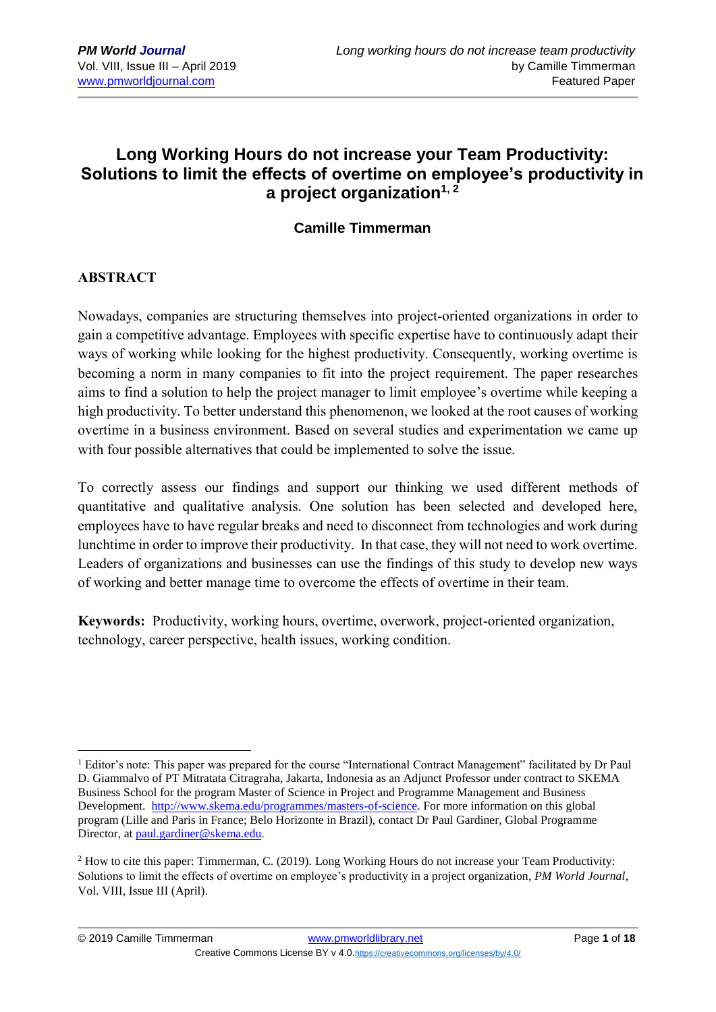# **Long Working Hours do not increase your Team Productivity: Solutions to limit the effects of overtime on employee's productivity in a project organization1, 2**

## **Camille Timmerman**

### **ABSTRACT**

<u>.</u>

Nowadays, companies are structuring themselves into project-oriented organizations in order to gain a competitive advantage. Employees with specific expertise have to continuously adapt their ways of working while looking for the highest productivity. Consequently, working overtime is becoming a norm in many companies to fit into the project requirement. The paper researches aims to find a solution to help the project manager to limit employee's overtime while keeping a high productivity. To better understand this phenomenon, we looked at the root causes of working overtime in a business environment. Based on several studies and experimentation we came up with four possible alternatives that could be implemented to solve the issue.

To correctly assess our findings and support our thinking we used different methods of quantitative and qualitative analysis. One solution has been selected and developed here, employees have to have regular breaks and need to disconnect from technologies and work during lunchtime in order to improve their productivity. In that case, they will not need to work overtime. Leaders of organizations and businesses can use the findings of this study to develop new ways of working and better manage time to overcome the effects of overtime in their team.

**Keywords:** Productivity, working hours, overtime, overwork, project-oriented organization, technology, career perspective, health issues, working condition.

<sup>&</sup>lt;sup>1</sup> Editor's note: This paper was prepared for the course "International Contract Management" facilitated by Dr Paul D. Giammalvo of PT Mitratata Citragraha, Jakarta, Indonesia as an Adjunct Professor under contract to SKEMA Business School for the program Master of Science in Project and Programme Management and Business Development. [http://www.skema.edu/programmes/masters-of-science.](http://www.skema.edu/programmes/masters-of-science) For more information on this global program (Lille and Paris in France; Belo Horizonte in Brazil), contact Dr Paul Gardiner, Global Programme Director, at [paul.gardiner@skema.edu.](mailto:paul.gardiner@skema.edu)

<sup>&</sup>lt;sup>2</sup> How to cite this paper: Timmerman, C. (2019). Long Working Hours do not increase your Team Productivity: Solutions to limit the effects of overtime on employee's productivity in a project organization, *PM World Journal*, Vol. VIII, Issue III (April).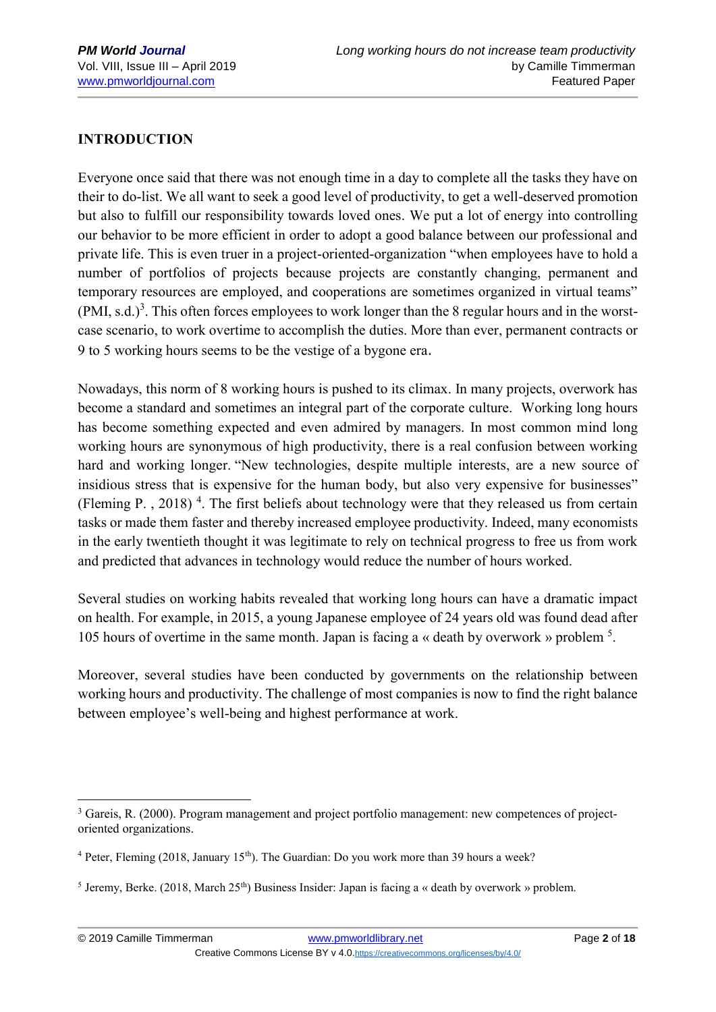### **INTRODUCTION**

1

Everyone once said that there was not enough time in a day to complete all the tasks they have on their to do-list. We all want to seek a good level of productivity, to get a well-deserved promotion but also to fulfill our responsibility towards loved ones. We put a lot of energy into controlling our behavior to be more efficient in order to adopt a good balance between our professional and private life. This is even truer in a project-oriented-organization "when employees have to hold a number of portfolios of projects because projects are constantly changing, permanent and temporary resources are employed, and cooperations are sometimes organized in virtual teams"  $(PMI, s.d.)<sup>3</sup>$ . This often forces employees to work longer than the 8 regular hours and in the worstcase scenario, to work overtime to accomplish the duties. More than ever, permanent contracts or 9 to 5 working hours seems to be the vestige of a bygone era.

Nowadays, this norm of 8 working hours is pushed to its climax. In many projects, overwork has become a standard and sometimes an integral part of the corporate culture. Working long hours has become something expected and even admired by managers. In most common mind long working hours are synonymous of high productivity, there is a real confusion between working hard and working longer. "New technologies, despite multiple interests, are a new source of insidious stress that is expensive for the human body, but also very expensive for businesses" (Fleming P., 2018)<sup>4</sup>. The first beliefs about technology were that they released us from certain tasks or made them faster and thereby increased employee productivity. Indeed, many economists in the early twentieth thought it was legitimate to rely on technical progress to free us from work and predicted that advances in technology would reduce the number of hours worked.

Several studies on working habits revealed that working long hours can have a dramatic impact on health. For example, in 2015, a young Japanese employee of 24 years old was found dead after 105 hours of overtime in the same month. Japan is facing a « death by overwork » problem <sup>5</sup> .

Moreover, several studies have been conducted by governments on the relationship between working hours and productivity. The challenge of most companies is now to find the right balance between employee's well-being and highest performance at work.

<sup>&</sup>lt;sup>3</sup> Gareis, R. (2000). Program management and project portfolio management: new competences of projectoriented organizations.

 $4$  Peter, Fleming (2018, January 15<sup>th</sup>). The Guardian: Do you work more than 39 hours a week?

<sup>&</sup>lt;sup>5</sup> Jeremy, Berke. (2018, March 25<sup>th</sup>) Business Insider: Japan is facing a « death by overwork » problem.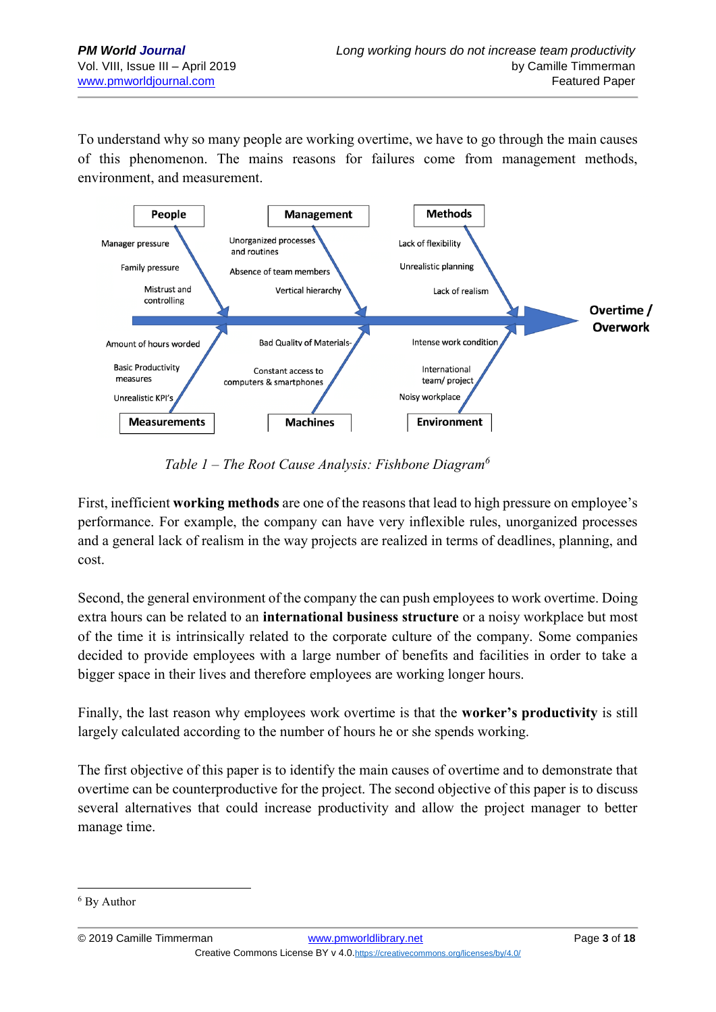To understand why so many people are working overtime, we have to go through the main causes of this phenomenon. The mains reasons for failures come from management methods, environment, and measurement.



*Table 1 – The Root Cause Analysis: Fishbone Diagram<sup>6</sup>*

First, inefficient **working methods** are one of the reasons that lead to high pressure on employee's performance. For example, the company can have very inflexible rules, unorganized processes and a general lack of realism in the way projects are realized in terms of deadlines, planning, and cost.

Second, the general environment of the company the can push employees to work overtime. Doing extra hours can be related to an **international business structure** or a noisy workplace but most of the time it is intrinsically related to the corporate culture of the company. Some companies decided to provide employees with a large number of benefits and facilities in order to take a bigger space in their lives and therefore employees are working longer hours.

Finally, the last reason why employees work overtime is that the **worker's productivity** is still largely calculated according to the number of hours he or she spends working.

The first objective of this paper is to identify the main causes of overtime and to demonstrate that overtime can be counterproductive for the project. The second objective of this paper is to discuss several alternatives that could increase productivity and allow the project manager to better manage time.

<sup>6</sup> By Author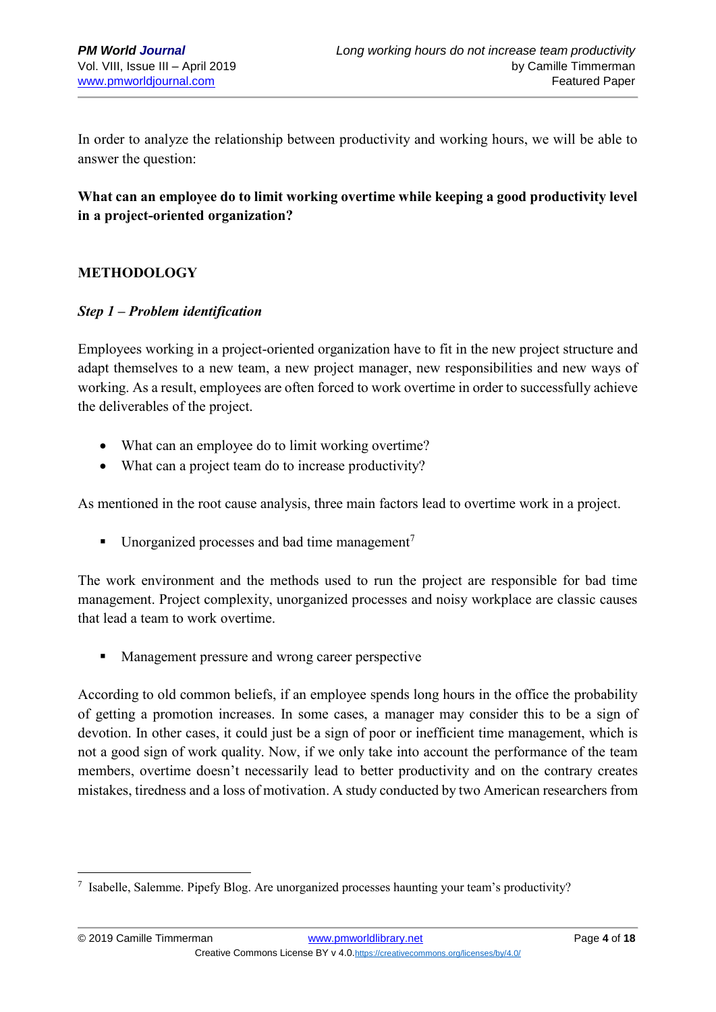In order to analyze the relationship between productivity and working hours, we will be able to answer the question:

## **What can an employee do to limit working overtime while keeping a good productivity level in a project-oriented organization?**

### **METHODOLOGY**

1

#### *Step 1 – Problem identification*

Employees working in a project-oriented organization have to fit in the new project structure and adapt themselves to a new team, a new project manager, new responsibilities and new ways of working. As a result, employees are often forced to work overtime in order to successfully achieve the deliverables of the project.

- What can an employee do to limit working overtime?
- What can a project team do to increase productivity?

As mentioned in the root cause analysis, three main factors lead to overtime work in a project.

**•** Unorganized processes and bad time management<sup>7</sup>

The work environment and the methods used to run the project are responsible for bad time management. Project complexity, unorganized processes and noisy workplace are classic causes that lead a team to work overtime.

■ Management pressure and wrong career perspective

According to old common beliefs, if an employee spends long hours in the office the probability of getting a promotion increases. In some cases, a manager may consider this to be a sign of devotion. In other cases, it could just be a sign of poor or inefficient time management, which is not a good sign of work quality. Now, if we only take into account the performance of the team members, overtime doesn't necessarily lead to better productivity and on the contrary creates mistakes, tiredness and a loss of motivation. A study conducted by two American researchers from

<sup>7</sup> Isabelle, Salemme. Pipefy Blog. Are unorganized processes haunting your team's productivity?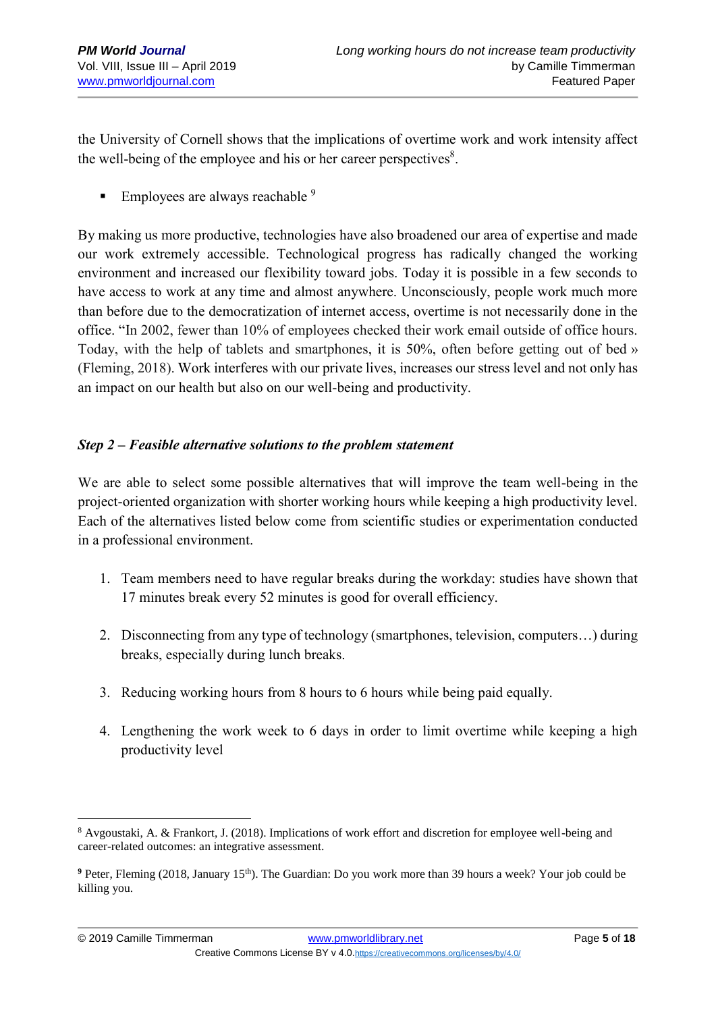the University of Cornell shows that the implications of overtime work and work intensity affect the well-being of the employee and his or her career perspectives $8$ .

**Employees are always reachable**  $9$ 

By making us more productive, technologies have also broadened our area of expertise and made our work extremely accessible. Technological progress has radically changed the working environment and increased our flexibility toward jobs. Today it is possible in a few seconds to have access to work at any time and almost anywhere. Unconsciously, people work much more than before due to the democratization of internet access, overtime is not necessarily done in the office. "In 2002, fewer than 10% of employees checked their work email outside of office hours. Today, with the help of tablets and smartphones, it is 50%, often before getting out of bed » (Fleming, 2018). Work interferes with our private lives, increases our stress level and not only has an impact on our health but also on our well-being and productivity.

### *Step 2 – Feasible alternative solutions to the problem statement*

We are able to select some possible alternatives that will improve the team well-being in the project-oriented organization with shorter working hours while keeping a high productivity level. Each of the alternatives listed below come from scientific studies or experimentation conducted in a professional environment.

- 1. Team members need to have regular breaks during the workday: studies have shown that 17 minutes break every 52 minutes is good for overall efficiency.
- 2. Disconnecting from any type of technology (smartphones, television, computers…) during breaks, especially during lunch breaks.
- 3. Reducing working hours from 8 hours to 6 hours while being paid equally.
- 4. Lengthening the work week to 6 days in order to limit overtime while keeping a high productivity level

<sup>&</sup>lt;u>.</u> <sup>8</sup> Avgoustaki, A. & Frankort, J. (2018). Implications of work effort and discretion for employee well-being and career-related outcomes: an integrative assessment.

<sup>&</sup>lt;sup>9</sup> Peter, Fleming (2018, January 15<sup>th</sup>). The Guardian: Do you work more than 39 hours a week? Your job could be killing you.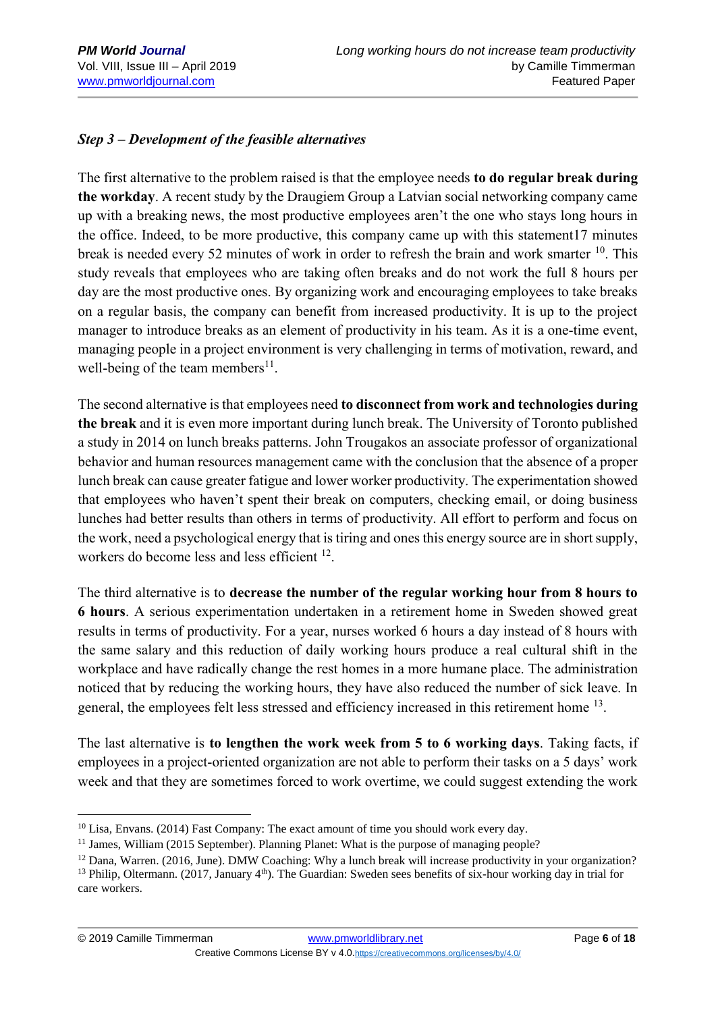<u>.</u>

### *Step 3 – Development of the feasible alternatives*

The first alternative to the problem raised is that the employee needs **to do regular break during the workday**. A recent study by the Draugiem Group a Latvian social networking company came up with a breaking news, the most productive employees aren't the one who stays long hours in the office. Indeed, to be more productive, this company came up with this statement17 minutes break is needed every 52 minutes of work in order to refresh the brain and work smarter <sup>10</sup>. This study reveals that employees who are taking often breaks and do not work the full 8 hours per day are the most productive ones. By organizing work and encouraging employees to take breaks on a regular basis, the company can benefit from increased productivity. It is up to the project manager to introduce breaks as an element of productivity in his team. As it is a one-time event, managing people in a project environment is very challenging in terms of motivation, reward, and well-being of the team members<sup>11</sup>.

The second alternative is that employees need **to disconnect from work and technologies during the break** and it is even more important during lunch break. The University of Toronto published a study in 2014 on lunch breaks patterns. John Trougakos an associate professor of organizational behavior and human resources management came with the conclusion that the absence of a proper lunch break can cause greater fatigue and lower worker productivity. The experimentation showed that employees who haven't spent their break on computers, checking email, or doing business lunches had better results than others in terms of productivity. All effort to perform and focus on the work, need a psychological energy that is tiring and ones this energy source are in short supply, workers do become less and less efficient <sup>12</sup>.

The third alternative is to **decrease the number of the regular working hour from 8 hours to 6 hours**. A serious experimentation undertaken in a retirement home in Sweden showed great results in terms of productivity. For a year, nurses worked 6 hours a day instead of 8 hours with the same salary and this reduction of daily working hours produce a real cultural shift in the workplace and have radically change the rest homes in a more humane place. The administration noticed that by reducing the working hours, they have also reduced the number of sick leave. In general, the employees felt less stressed and efficiency increased in this retirement home <sup>13</sup>.

The last alternative is **to lengthen the work week from 5 to 6 working days**. Taking facts, if employees in a project-oriented organization are not able to perform their tasks on a 5 days' work week and that they are sometimes forced to work overtime, we could suggest extending the work

<sup>&</sup>lt;sup>10</sup> Lisa, Envans. (2014) Fast Company: The exact amount of time you should work every day.

<sup>&</sup>lt;sup>11</sup> James, William (2015 September). Planning Planet: What is the purpose of managing people?

<sup>&</sup>lt;sup>12</sup> Dana, Warren. (2016, June). DMW Coaching: Why a lunch break will increase productivity in your organization?

<sup>&</sup>lt;sup>13</sup> Philip, Oltermann. (2017, January 4<sup>th</sup>). The Guardian: Sweden sees benefits of six-hour working day in trial for care workers.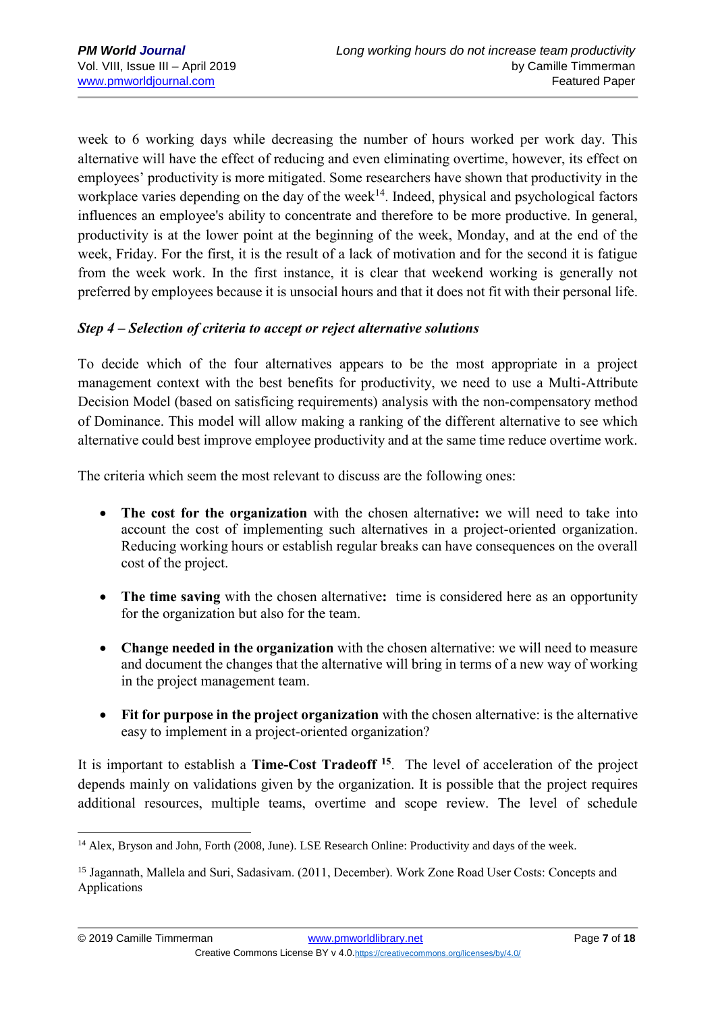1

week to 6 working days while decreasing the number of hours worked per work day. This alternative will have the effect of reducing and even eliminating overtime, however, its effect on employees' productivity is more mitigated. Some researchers have shown that productivity in the workplace varies depending on the day of the week<sup>14</sup>. Indeed, physical and psychological factors influences an employee's ability to concentrate and therefore to be more productive. In general, productivity is at the lower point at the beginning of the week, Monday, and at the end of the week, Friday. For the first, it is the result of a lack of motivation and for the second it is fatigue from the week work. In the first instance, it is clear that weekend working is generally not preferred by employees because it is unsocial hours and that it does not fit with their personal life.

### *Step 4 – Selection of criteria to accept or reject alternative solutions*

To decide which of the four alternatives appears to be the most appropriate in a project management context with the best benefits for productivity, we need to use a Multi-Attribute Decision Model (based on satisficing requirements) analysis with the non-compensatory method of Dominance. This model will allow making a ranking of the different alternative to see which alternative could best improve employee productivity and at the same time reduce overtime work.

The criteria which seem the most relevant to discuss are the following ones:

- **The cost for the organization** with the chosen alternative**:** we will need to take into account the cost of implementing such alternatives in a project-oriented organization. Reducing working hours or establish regular breaks can have consequences on the overall cost of the project.
- **The time saving** with the chosen alternative**:** time is considered here as an opportunity for the organization but also for the team.
- **Change needed in the organization** with the chosen alternative: we will need to measure and document the changes that the alternative will bring in terms of a new way of working in the project management team.
- **Fit for purpose in the project organization** with the chosen alternative: is the alternative easy to implement in a project-oriented organization?

It is important to establish a **Time-Cost Tradeoff <sup>15</sup>**. The level of acceleration of the project depends mainly on validations given by the organization. It is possible that the project requires additional resources, multiple teams, overtime and scope review. The level of schedule

<sup>&</sup>lt;sup>14</sup> Alex, Bryson and John, Forth (2008, June). LSE Research Online: Productivity and days of the week.

<sup>&</sup>lt;sup>15</sup> Jagannath, Mallela and Suri, Sadasivam. (2011, December). Work Zone Road User Costs: Concepts and Applications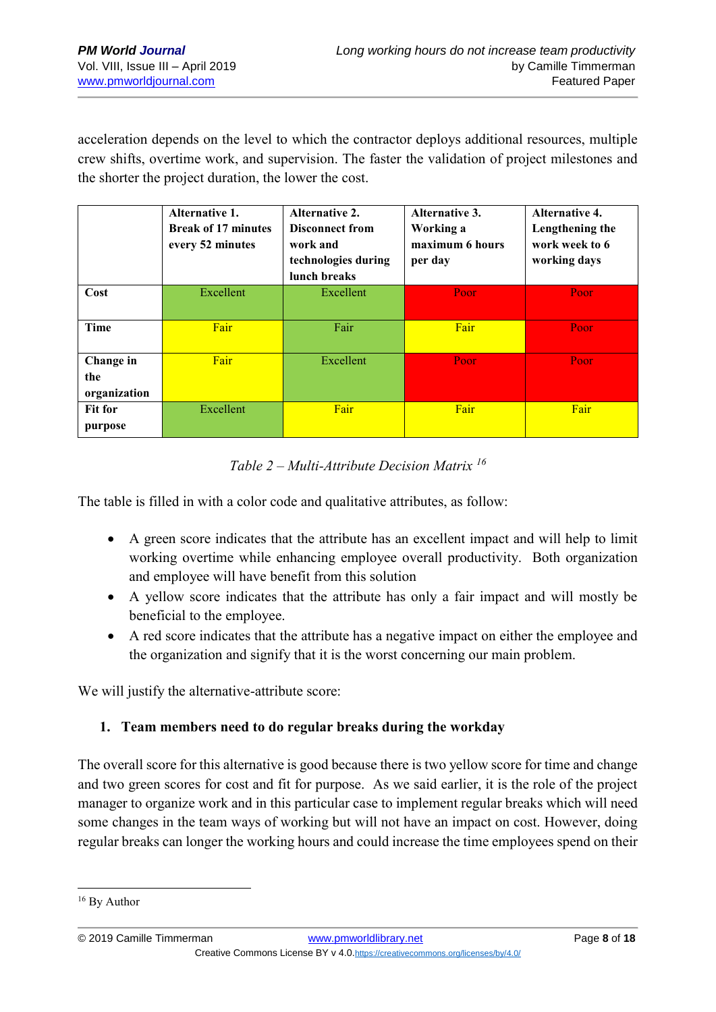acceleration depends on the level to which the contractor deploys additional resources, multiple crew shifts, overtime work, and supervision. The faster the validation of project milestones and the shorter the project duration, the lower the cost.

|                                  | Alternative 1.<br><b>Break of 17 minutes</b><br>every 52 minutes | <b>Alternative 2.</b><br><b>Disconnect from</b><br>work and<br>technologies during<br>lunch breaks | <b>Alternative 3.</b><br>Working a<br>maximum 6 hours<br>per day | <b>Alternative 4.</b><br>Lengthening the<br>work week to 6<br>working days |  |
|----------------------------------|------------------------------------------------------------------|----------------------------------------------------------------------------------------------------|------------------------------------------------------------------|----------------------------------------------------------------------------|--|
| Cost                             | Excellent                                                        | Excellent                                                                                          | Poor                                                             | Poor                                                                       |  |
| <b>Time</b>                      | Fair                                                             | Fair                                                                                               | Fair                                                             | Poor                                                                       |  |
| Change in<br>the<br>organization | Fair                                                             | Excellent                                                                                          | Poor                                                             | Poor                                                                       |  |
| <b>Fit for</b><br>purpose        | Excellent                                                        | Fair                                                                                               | Fair                                                             | Fair                                                                       |  |

### *Table 2 – Multi-Attribute Decision Matrix <sup>16</sup>*

The table is filled in with a color code and qualitative attributes, as follow:

- A green score indicates that the attribute has an excellent impact and will help to limit working overtime while enhancing employee overall productivity. Both organization and employee will have benefit from this solution
- A yellow score indicates that the attribute has only a fair impact and will mostly be beneficial to the employee.
- A red score indicates that the attribute has a negative impact on either the employee and the organization and signify that it is the worst concerning our main problem.

We will justify the alternative-attribute score:

### **1. Team members need to do regular breaks during the workday**

The overall score for this alternative is good because there is two yellow score for time and change and two green scores for cost and fit for purpose. As we said earlier, it is the role of the project manager to organize work and in this particular case to implement regular breaks which will need some changes in the team ways of working but will not have an impact on cost. However, doing regular breaks can longer the working hours and could increase the time employees spend on their

<sup>&</sup>lt;sup>16</sup> By Author

<sup>© 2019</sup> Camille Timmerman [www.pmworldlibrary.net](http://www.pmworldlibrary.net/) Page **8** of **18** Creative Commons License BY v 4.0.<https://creativecommons.org/licenses/by/4.0/>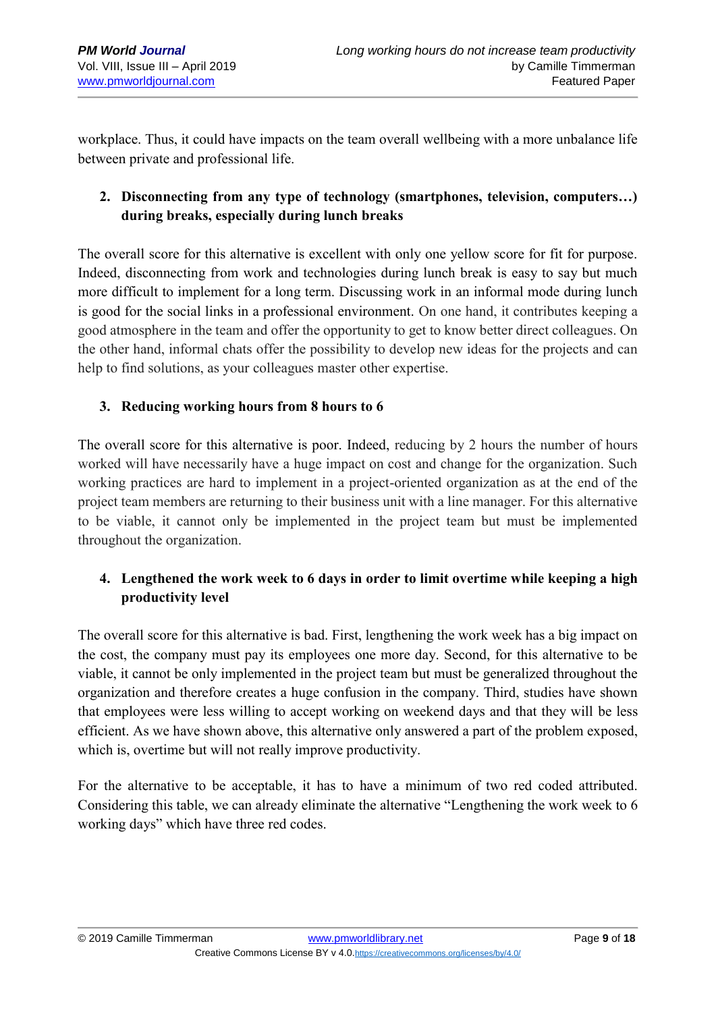workplace. Thus, it could have impacts on the team overall wellbeing with a more unbalance life between private and professional life.

## **2. Disconnecting from any type of technology (smartphones, television, computers…) during breaks, especially during lunch breaks**

The overall score for this alternative is excellent with only one yellow score for fit for purpose. Indeed, disconnecting from work and technologies during lunch break is easy to say but much more difficult to implement for a long term. Discussing work in an informal mode during lunch is good for the social links in a professional environment. On one hand, it contributes keeping a good atmosphere in the team and offer the opportunity to get to know better direct colleagues. On the other hand, informal chats offer the possibility to develop new ideas for the projects and can help to find solutions, as your colleagues master other expertise.

### **3. Reducing working hours from 8 hours to 6**

The overall score for this alternative is poor. Indeed, reducing by 2 hours the number of hours worked will have necessarily have a huge impact on cost and change for the organization. Such working practices are hard to implement in a project-oriented organization as at the end of the project team members are returning to their business unit with a line manager. For this alternative to be viable, it cannot only be implemented in the project team but must be implemented throughout the organization.

## **4. Lengthened the work week to 6 days in order to limit overtime while keeping a high productivity level**

The overall score for this alternative is bad. First, lengthening the work week has a big impact on the cost, the company must pay its employees one more day. Second, for this alternative to be viable, it cannot be only implemented in the project team but must be generalized throughout the organization and therefore creates a huge confusion in the company. Third, studies have shown that employees were less willing to accept working on weekend days and that they will be less efficient. As we have shown above, this alternative only answered a part of the problem exposed, which is, overtime but will not really improve productivity.

For the alternative to be acceptable, it has to have a minimum of two red coded attributed. Considering this table, we can already eliminate the alternative "Lengthening the work week to 6 working days" which have three red codes.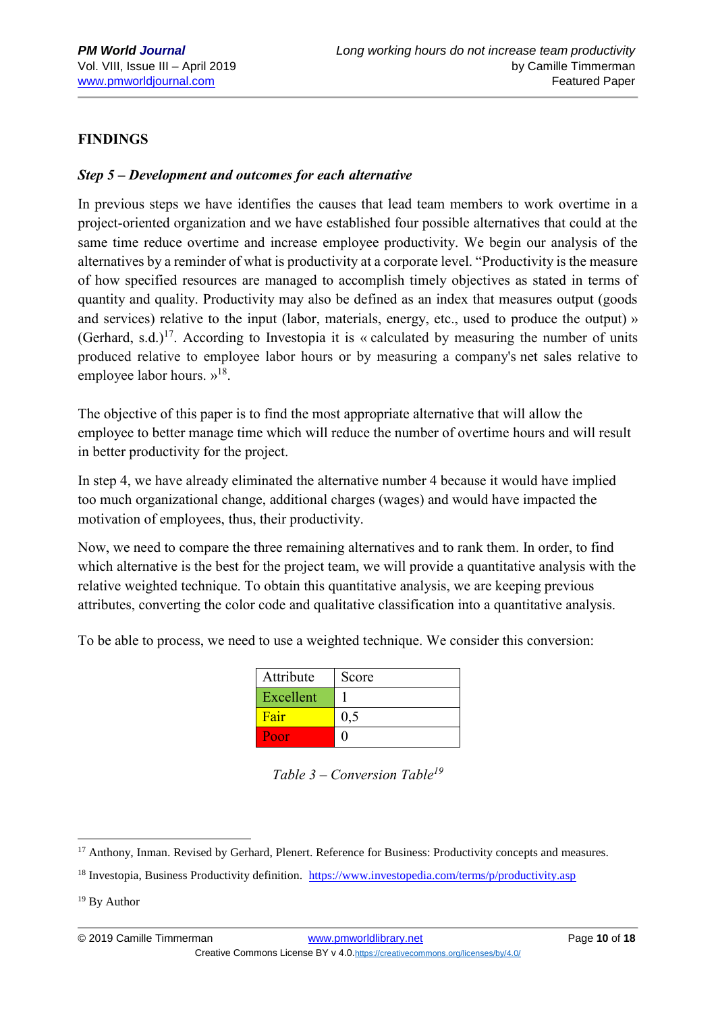### **FINDINGS**

### *Step 5 – Development and outcomes for each alternative*

In previous steps we have identifies the causes that lead team members to work overtime in a project-oriented organization and we have established four possible alternatives that could at the same time reduce overtime and increase employee productivity. We begin our analysis of the alternatives by a reminder of what is productivity at a corporate level. "Productivity is the measure of how specified resources are managed to accomplish timely objectives as stated in terms of quantity and quality. Productivity may also be defined as an index that measures output (goods and services) relative to the input (labor, materials, energy, etc., used to produce the output) » (Gerhard, s.d.)<sup>17</sup>. According to Investopia it is « calculated by measuring the number of units produced relative to employee labor hours or by measuring a company's net sales relative to employee labor hours.  $v^{18}$ .

The objective of this paper is to find the most appropriate alternative that will allow the employee to better manage time which will reduce the number of overtime hours and will result in better productivity for the project.

In step 4, we have already eliminated the alternative number 4 because it would have implied too much organizational change, additional charges (wages) and would have impacted the motivation of employees, thus, their productivity.

Now, we need to compare the three remaining alternatives and to rank them. In order, to find which alternative is the best for the project team, we will provide a quantitative analysis with the relative weighted technique. To obtain this quantitative analysis, we are keeping previous attributes, converting the color code and qualitative classification into a quantitative analysis.

To be able to process, we need to use a weighted technique. We consider this conversion:

| Attribute | Score |
|-----------|-------|
| Excellent |       |
| Fair      | 0.5   |
| Poor      |       |

*Table 3 – Conversion Table<sup>19</sup>*

<sup>&</sup>lt;sup>17</sup> Anthony, Inman. Revised by Gerhard, Plenert. Reference for Business: Productivity concepts and measures.

<sup>&</sup>lt;sup>18</sup> Investopia, Business Productivity definition. <https://www.investopedia.com/terms/p/productivity.asp>

<sup>19</sup> By Author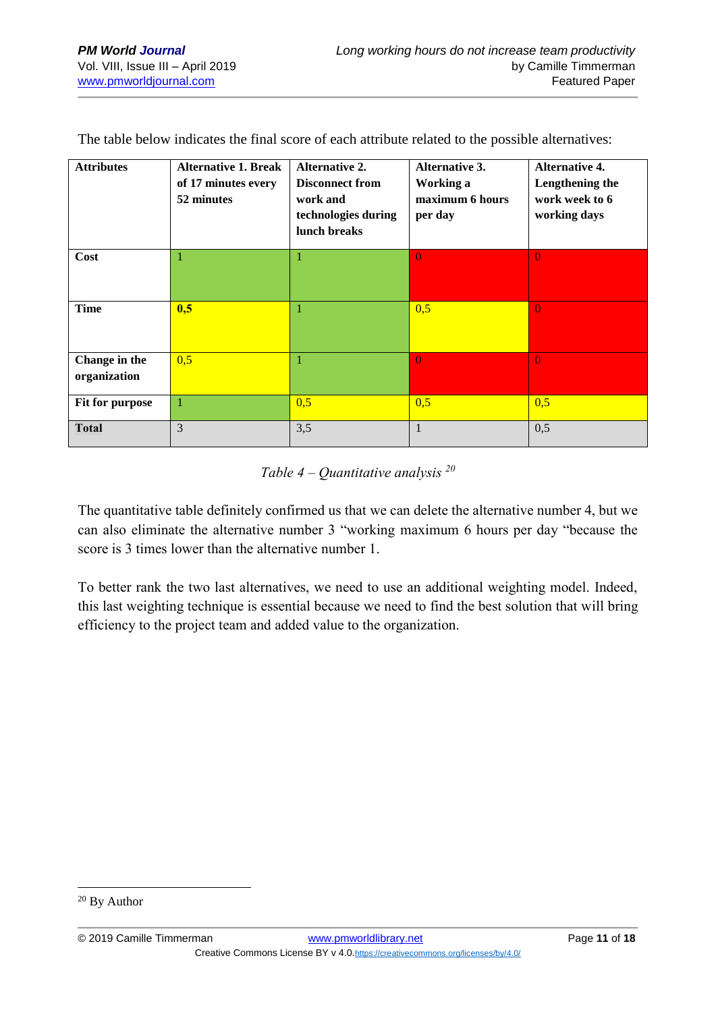| <b>Attributes</b>             | <b>Alternative 1. Break</b><br>of 17 minutes every<br>52 minutes | <b>Alternative 2.</b><br><b>Disconnect from</b><br>work and<br>technologies during<br>lunch breaks | <b>Alternative 3.</b><br>Working a<br>maximum 6 hours<br>per day | <b>Alternative 4.</b><br>Lengthening the<br>work week to 6<br>working days |
|-------------------------------|------------------------------------------------------------------|----------------------------------------------------------------------------------------------------|------------------------------------------------------------------|----------------------------------------------------------------------------|
| Cost                          | 1                                                                |                                                                                                    | $\Omega$                                                         | $\theta$                                                                   |
| Time                          | 0,5                                                              | 1                                                                                                  | 0,5                                                              | $\Omega$                                                                   |
| Change in the<br>organization | 0,5                                                              |                                                                                                    | $\Omega$                                                         | $\Omega$                                                                   |
| Fit for purpose               | 1                                                                | 0,5                                                                                                | 0,5                                                              | 0,5                                                                        |
| <b>Total</b>                  | 3                                                                | 3,5                                                                                                |                                                                  | 0,5                                                                        |

The table below indicates the final score of each attribute related to the possible alternatives:

## *Table 4 – Quantitative analysis <sup>20</sup>*

The quantitative table definitely confirmed us that we can delete the alternative number 4, but we can also eliminate the alternative number 3 "working maximum 6 hours per day "because the score is 3 times lower than the alternative number 1.

To better rank the two last alternatives, we need to use an additional weighting model. Indeed, this last weighting technique is essential because we need to find the best solution that will bring efficiency to the project team and added value to the organization.

<sup>20</sup> By Author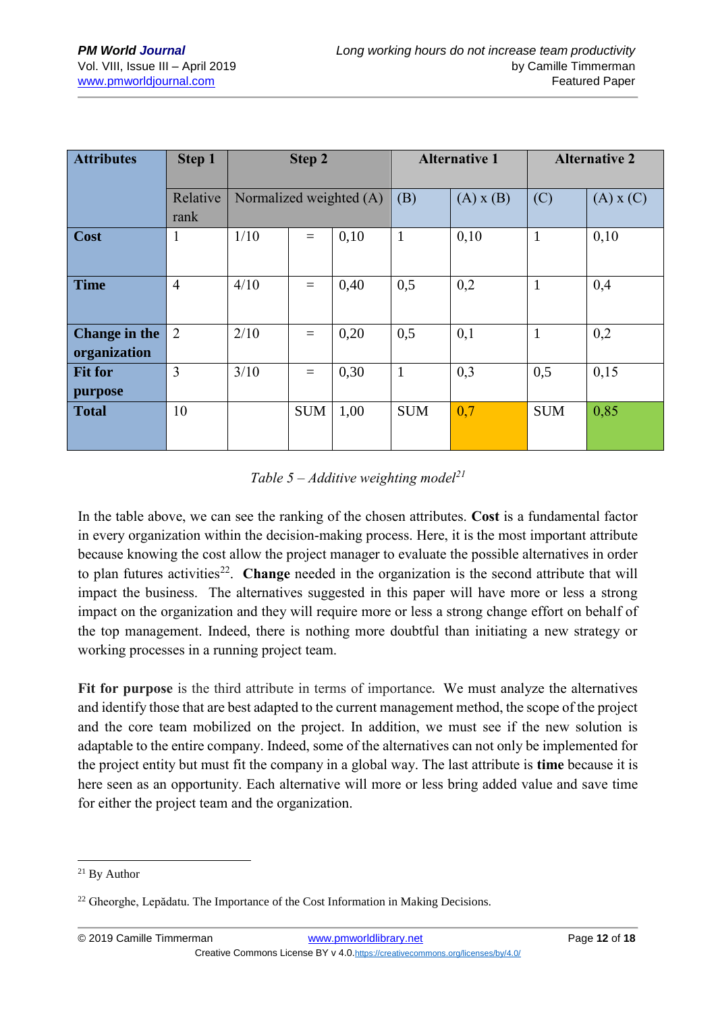| <b>Attributes</b>             | Step 1           | Step 2                  |            |      | <b>Alternative 1</b> |      | <b>Alternative 2</b> |      |
|-------------------------------|------------------|-------------------------|------------|------|----------------------|------|----------------------|------|
|                               | Relative<br>rank | Normalized weighted (A) |            | (B)  | $(A)$ x $(B)$        | (C)  | $(A)$ x $(C)$        |      |
| Cost                          | $\mathbf{1}$     | 1/10                    | $=$        | 0,10 | $\mathbf{1}$         | 0,10 | $\mathbf{1}$         | 0,10 |
| <b>Time</b>                   | $\overline{4}$   | 4/10                    | $=$        | 0,40 | 0,5                  | 0,2  | $\mathbf{1}$         | 0,4  |
| Change in the<br>organization | 2                | 2/10                    | $=$        | 0,20 | 0,5                  | 0,1  | 1                    | 0,2  |
| <b>Fit for</b><br>purpose     | $\overline{3}$   | 3/10                    | $=$        | 0,30 | $\mathbf{1}$         | 0,3  | 0,5                  | 0,15 |
| <b>Total</b>                  | 10               |                         | <b>SUM</b> | 1,00 | <b>SUM</b>           | 0,7  | <b>SUM</b>           | 0,85 |

*Table 5 – Additive weighting model<sup>21</sup>*

In the table above, we can see the ranking of the chosen attributes. **Cost** is a fundamental factor in every organization within the decision-making process. Here, it is the most important attribute because knowing the cost allow the project manager to evaluate the possible alternatives in order to plan futures activities<sup>22</sup>. Change needed in the organization is the second attribute that will impact the business. The alternatives suggested in this paper will have more or less a strong impact on the organization and they will require more or less a strong change effort on behalf of the top management. Indeed, there is nothing more doubtful than initiating a new strategy or working processes in a running project team.

**Fit for purpose** is the third attribute in terms of importance. We must analyze the alternatives and identify those that are best adapted to the current management method, the scope of the project and the core team mobilized on the project. In addition, we must see if the new solution is adaptable to the entire company. Indeed, some of the alternatives can not only be implemented for the project entity but must fit the company in a global way. The last attribute is **time** because it is here seen as an opportunity. Each alternative will more or less bring added value and save time for either the project team and the organization.

<sup>21</sup> By Author

<sup>&</sup>lt;sup>22</sup> Gheorghe, Lepădatu. The Importance of the Cost Information in Making Decisions.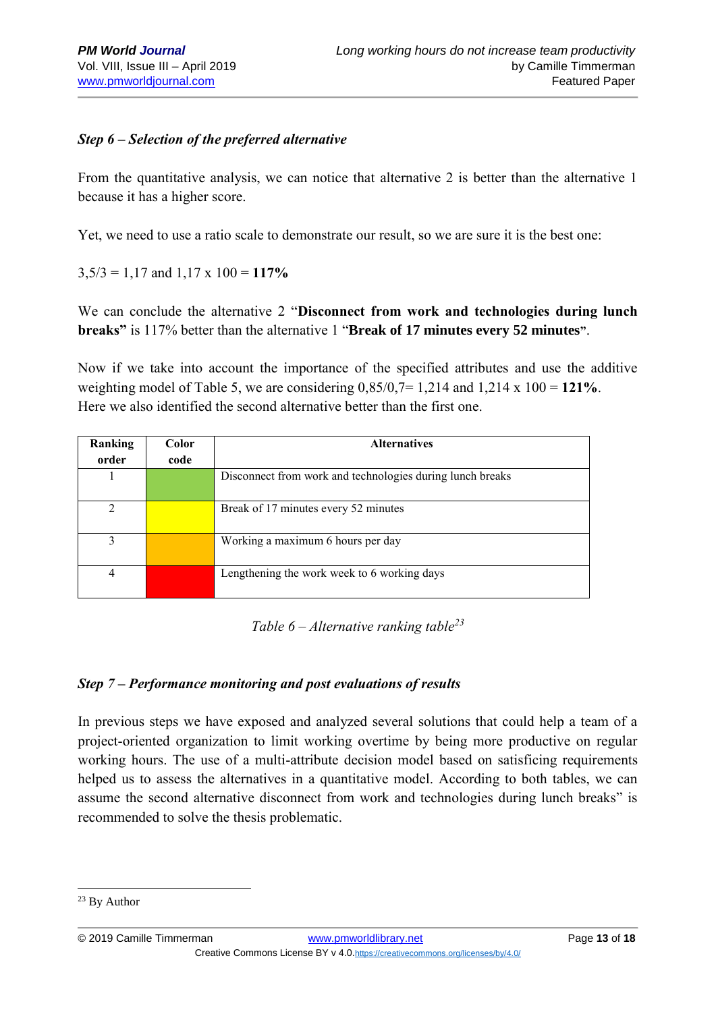### *Step 6 – Selection of the preferred alternative*

From the quantitative analysis, we can notice that alternative 2 is better than the alternative 1 because it has a higher score.

Yet, we need to use a ratio scale to demonstrate our result, so we are sure it is the best one:

 $3,5/3 = 1,17$  and  $1,17 \times 100 = 117\%$ 

We can conclude the alternative 2 "**Disconnect from work and technologies during lunch breaks"** is 117% better than the alternative 1 "**Break of 17 minutes every 52 minutes"**.

Now if we take into account the importance of the specified attributes and use the additive weighting model of Table 5, we are considering 0,85/0,7= 1,214 and 1,214 x 100 = **121%**. Here we also identified the second alternative better than the first one.

| Ranking<br>order | <b>Color</b><br>code | <b>Alternatives</b>                                       |
|------------------|----------------------|-----------------------------------------------------------|
|                  |                      | Disconnect from work and technologies during lunch breaks |
| າ                |                      | Break of 17 minutes every 52 minutes                      |
| 3                |                      | Working a maximum 6 hours per day                         |
| $\overline{4}$   |                      | Lengthening the work week to 6 working days               |

*Table 6 – Alternative ranking table<sup>23</sup>*

### *Step 7 – Performance monitoring and post evaluations of results*

In previous steps we have exposed and analyzed several solutions that could help a team of a project-oriented organization to limit working overtime by being more productive on regular working hours. The use of a multi-attribute decision model based on satisficing requirements helped us to assess the alternatives in a quantitative model. According to both tables, we can assume the second alternative disconnect from work and technologies during lunch breaks" is recommended to solve the thesis problematic.

<sup>1</sup> <sup>23</sup> By Author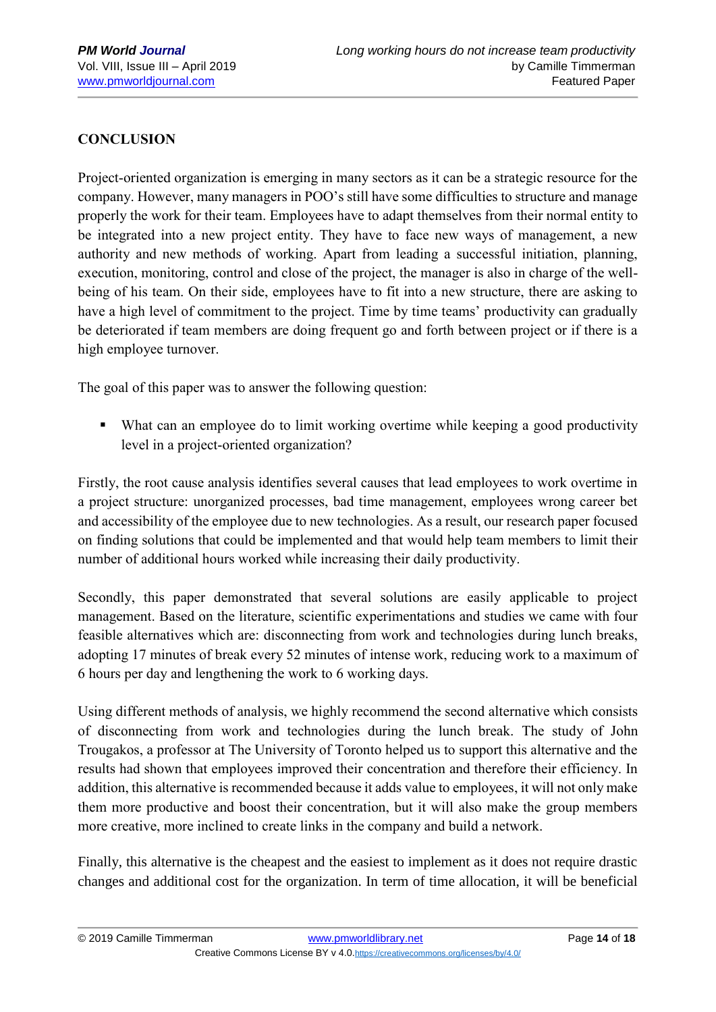## **CONCLUSION**

Project-oriented organization is emerging in many sectors as it can be a strategic resource for the company. However, many managers in POO's still have some difficulties to structure and manage properly the work for their team. Employees have to adapt themselves from their normal entity to be integrated into a new project entity. They have to face new ways of management, a new authority and new methods of working. Apart from leading a successful initiation, planning, execution, monitoring, control and close of the project, the manager is also in charge of the wellbeing of his team. On their side, employees have to fit into a new structure, there are asking to have a high level of commitment to the project. Time by time teams' productivity can gradually be deteriorated if team members are doing frequent go and forth between project or if there is a high employee turnover.

The goal of this paper was to answer the following question:

■ What can an employee do to limit working overtime while keeping a good productivity level in a project-oriented organization?

Firstly, the root cause analysis identifies several causes that lead employees to work overtime in a project structure: unorganized processes, bad time management, employees wrong career bet and accessibility of the employee due to new technologies. As a result, our research paper focused on finding solutions that could be implemented and that would help team members to limit their number of additional hours worked while increasing their daily productivity.

Secondly, this paper demonstrated that several solutions are easily applicable to project management. Based on the literature, scientific experimentations and studies we came with four feasible alternatives which are: disconnecting from work and technologies during lunch breaks, adopting 17 minutes of break every 52 minutes of intense work, reducing work to a maximum of 6 hours per day and lengthening the work to 6 working days.

Using different methods of analysis, we highly recommend the second alternative which consists of disconnecting from work and technologies during the lunch break. The study of John Trougakos, a professor at The University of Toronto helped us to support this alternative and the results had shown that employees improved their concentration and therefore their efficiency. In addition, this alternative is recommended because it adds value to employees, it will not only make them more productive and boost their concentration, but it will also make the group members more creative, more inclined to create links in the company and build a network.

Finally, this alternative is the cheapest and the easiest to implement as it does not require drastic changes and additional cost for the organization. In term of time allocation, it will be beneficial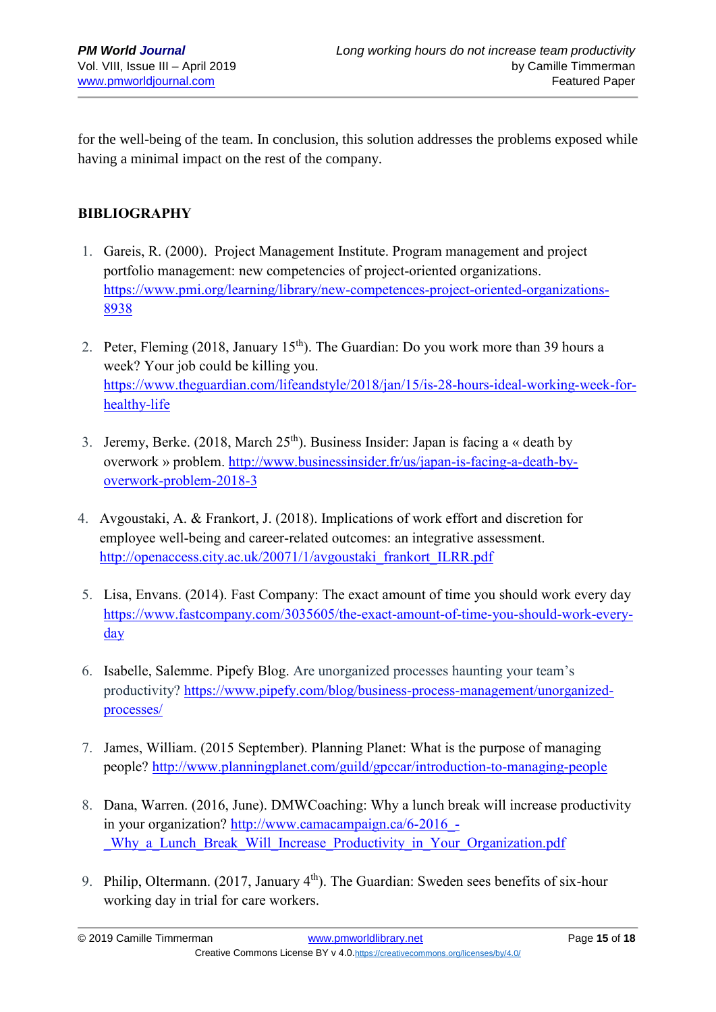for the well-being of the team. In conclusion, this solution addresses the problems exposed while having a minimal impact on the rest of the company.

### **BIBLIOGRAPHY**

- 1. Gareis, R. (2000). Project Management Institute. Program management and project portfolio management: new competencies of project-oriented organizations. [https://www.pmi.org/learning/library/new-competences-project-oriented-organizations-](https://www.pmi.org/learning/library/new-competences-project-oriented-organizations-8938)[8938](https://www.pmi.org/learning/library/new-competences-project-oriented-organizations-8938)
- 2. Peter, Fleming (2018, January  $15<sup>th</sup>$ ). The Guardian: Do you work more than 39 hours a week? Your job could be killing you. [https://www.theguardian.com/lifeandstyle/2018/jan/15/is-28-hours-ideal-working-week-for](https://www.theguardian.com/lifeandstyle/2018/jan/15/is-28-hours-ideal-working-week-for-healthy-life)[healthy-life](https://www.theguardian.com/lifeandstyle/2018/jan/15/is-28-hours-ideal-working-week-for-healthy-life)
- 3. Jeremy, Berke. (2018, March 25<sup>th</sup>). Business Insider: Japan is facing a « death by overwork » problem. [http://www.businessinsider.fr/us/japan-is-facing-a-death-by](http://www.businessinsider.fr/us/japan-is-facing-a-death-by-overwork-problem-2018-3)[overwork-problem-2018-3](http://www.businessinsider.fr/us/japan-is-facing-a-death-by-overwork-problem-2018-3)
- 4. Avgoustaki, A. & Frankort, J. (2018). Implications of work effort and discretion for employee well-being and career-related outcomes: an integrative assessment. [http://openaccess.city.ac.uk/20071/1/avgoustaki\\_frankort\\_ILRR.pdf](http://openaccess.city.ac.uk/20071/1/avgoustaki_frankort_ILRR.pdf)
- 5. Lisa, Envans. (2014). Fast Company: The exact amount of time you should work every day [https://www.fastcompany.com/3035605/the-exact-amount-of-time-you-should-work-every](https://www.fastcompany.com/3035605/the-exact-amount-of-time-you-should-work-every-day)[day](https://www.fastcompany.com/3035605/the-exact-amount-of-time-you-should-work-every-day)
- 6. Isabelle, Salemme. Pipefy Blog. Are unorganized processes haunting your team's productivity? [https://www.pipefy.com/blog/business-process-management/unorganized](https://www.pipefy.com/blog/business-process-management/unorganized-processes/)[processes/](https://www.pipefy.com/blog/business-process-management/unorganized-processes/)
- 7. James, William. (2015 September). Planning Planet: What is the purpose of managing people? <http://www.planningplanet.com/guild/gpccar/introduction-to-managing-people>
- 8. Dana, Warren. (2016, June). DMWCoaching: Why a lunch break will increase productivity in your organization? [http://www.camacampaign.ca/6-2016\\_-](http://www.camacampaign.ca/6-2016_-_Why_a_Lunch_Break_Will_Increase_Productivity_in_Your_Organization.pdf) Why a Lunch Break Will Increase Productivity in Your Organization.pdf
- 9. Philip, Oltermann. (2017, January 4<sup>th</sup>). The Guardian: Sweden sees benefits of six-hour working day in trial for care workers.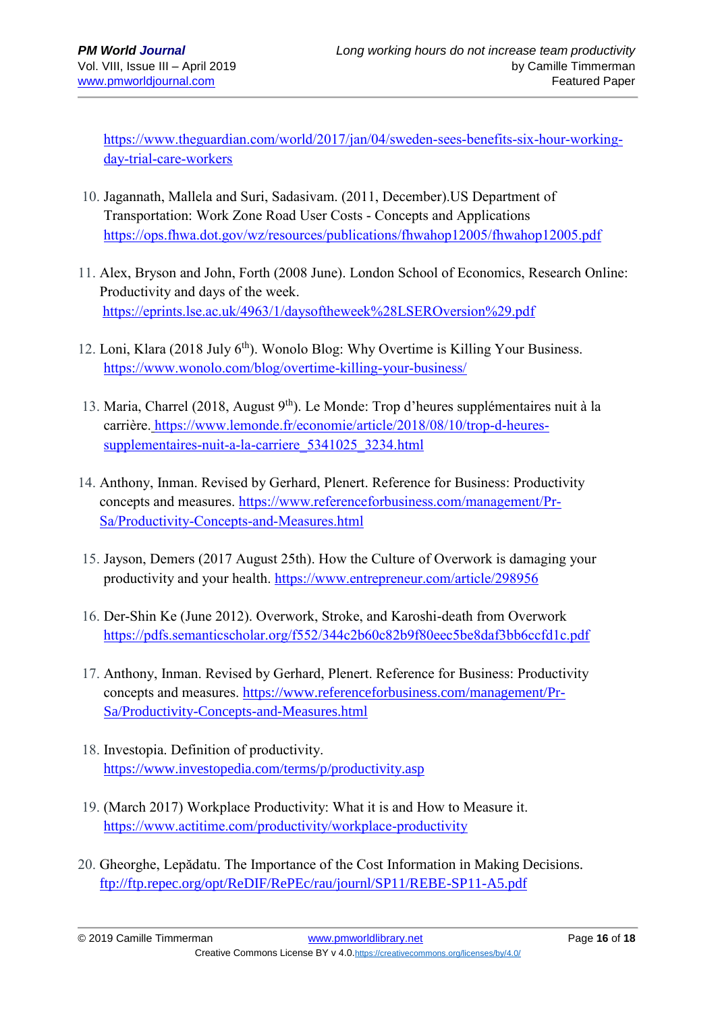[https://www.theguardian.com/world/2017/jan/04/sweden-sees-benefits-six-hour-working](https://www.theguardian.com/world/2017/jan/04/sweden-sees-benefits-six-hour-working-day-trial-care-workers)[day-trial-care-workers](https://www.theguardian.com/world/2017/jan/04/sweden-sees-benefits-six-hour-working-day-trial-care-workers)

- 10. Jagannath, Mallela and Suri, Sadasivam. (2011, December).US Department of Transportation: Work Zone Road User Costs - Concepts and Applications <https://ops.fhwa.dot.gov/wz/resources/publications/fhwahop12005/fhwahop12005.pdf>
- 11. Alex, Bryson and John, Forth (2008 June). London School of Economics, Research Online: Productivity and days of the week. <https://eprints.lse.ac.uk/4963/1/daysoftheweek%28LSEROversion%29.pdf>
- 12. Loni, Klara (2018 July 6<sup>th</sup>). Wonolo Blog: Why Overtime is Killing Your Business. <https://www.wonolo.com/blog/overtime-killing-your-business/>
- 13. Maria, Charrel (2018, August 9th). Le Monde: Trop d'heures supplémentaires nuit à la carrière. [https://www.lemonde.fr/economie/article/2018/08/10/trop-d-heures](https://www.lemonde.fr/economie/article/2018/08/10/trop-d-heures-supplementaires-nuit-a-la-carriere_5341025_3234.html)[supplementaires-nuit-a-la-carriere\\_5341025\\_3234.html](https://www.lemonde.fr/economie/article/2018/08/10/trop-d-heures-supplementaires-nuit-a-la-carriere_5341025_3234.html)
- 14. Anthony, Inman. Revised by Gerhard, Plenert. Reference for Business: Productivity concepts and measures. [https://www.referenceforbusiness.com/management/Pr-](https://www.referenceforbusiness.com/management/Pr-Sa/Productivity-Concepts-and-Measures.html)[Sa/Productivity-Concepts-and-Measures.html](https://www.referenceforbusiness.com/management/Pr-Sa/Productivity-Concepts-and-Measures.html)
- 15. Jayson, Demers (2017 August 25th). How the Culture of Overwork is damaging your productivity and your health. <https://www.entrepreneur.com/article/298956>
- 16. Der-Shin Ke (June 2012). Overwork, Stroke, and Karoshi-death from Overwork <https://pdfs.semanticscholar.org/f552/344c2b60c82b9f80eec5be8daf3bb6ccfd1c.pdf>
- 17. Anthony, Inman. Revised by Gerhard, Plenert. Reference for Business: Productivity concepts and measures. [https://www.referenceforbusiness.com/management/Pr-](https://www.referenceforbusiness.com/management/Pr-Sa/Productivity-Concepts-and-Measures.html)[Sa/Productivity-Concepts-and-Measures.html](https://www.referenceforbusiness.com/management/Pr-Sa/Productivity-Concepts-and-Measures.html)
- 18. Investopia. Definition of productivity. <https://www.investopedia.com/terms/p/productivity.asp>
- 19. (March 2017) Workplace Productivity: What it is and How to Measure it. <https://www.actitime.com/productivity/workplace-productivity>
- 20. Gheorghe, Lepădatu. The Importance of the Cost Information in Making Decisions. <ftp://ftp.repec.org/opt/ReDIF/RePEc/rau/journl/SP11/REBE-SP11-A5.pdf>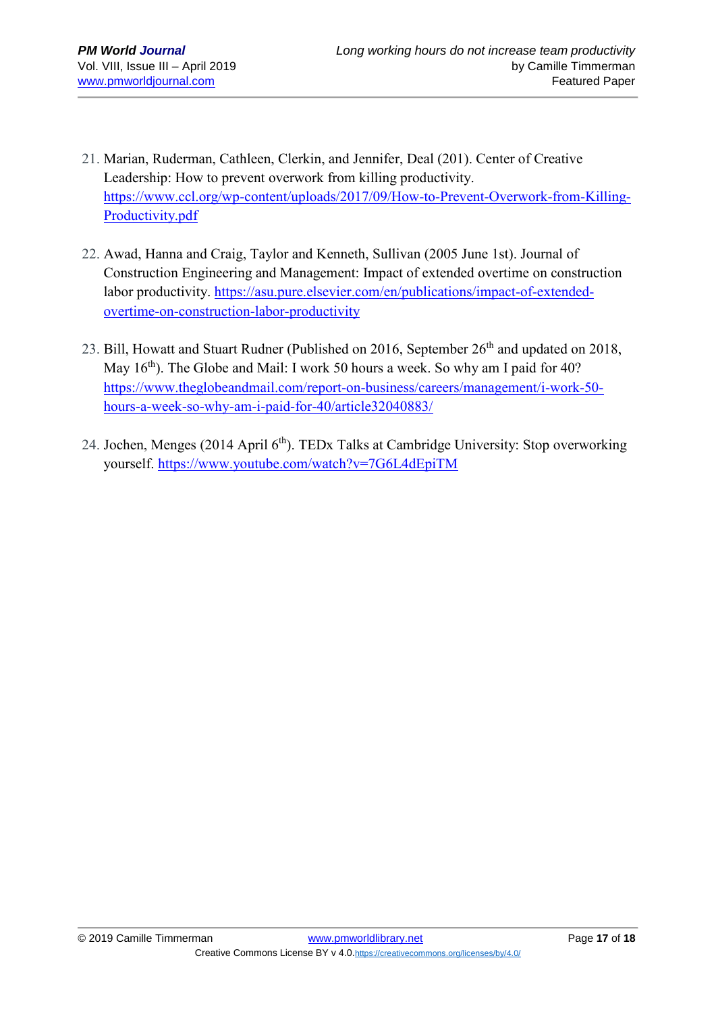- 21. Marian, Ruderman, Cathleen, Clerkin, and Jennifer, Deal (201). Center of Creative Leadership: How to prevent overwork from killing productivity. [https://www.ccl.org/wp-content/uploads/2017/09/How-to-Prevent-Overwork-from-Killing-](https://www.ccl.org/wp-content/uploads/2017/09/How-to-Prevent-Overwork-from-Killing-Productivity.pdf)[Productivity.pdf](https://www.ccl.org/wp-content/uploads/2017/09/How-to-Prevent-Overwork-from-Killing-Productivity.pdf)
- 22. Awad, Hanna and Craig, Taylor and Kenneth, Sullivan (2005 June 1st). Journal of Construction Engineering and Management: Impact of extended overtime on construction labor productivity. [https://asu.pure.elsevier.com/en/publications/impact-of-extended](https://asu.pure.elsevier.com/en/publications/impact-of-extended-overtime-on-construction-labor-productivity)[overtime-on-construction-labor-productivity](https://asu.pure.elsevier.com/en/publications/impact-of-extended-overtime-on-construction-labor-productivity)
- 23. Bill, Howatt and Stuart Rudner (Published on 2016, September 26<sup>th</sup> and updated on 2018, May  $16<sup>th</sup>$ ). The Globe and Mail: I work 50 hours a week. So why am I paid for 40? [https://www.theglobeandmail.com/report-on-business/careers/management/i-work-50](https://www.theglobeandmail.com/report-on-business/careers/management/i-work-50-hours-a-week-so-why-am-i-paid-for-40/article32040883/) [hours-a-week-so-why-am-i-paid-for-40/article32040883/](https://www.theglobeandmail.com/report-on-business/careers/management/i-work-50-hours-a-week-so-why-am-i-paid-for-40/article32040883/)
- 24. Jochen, Menges (2014 April 6<sup>th</sup>). TEDx Talks at Cambridge University: Stop overworking yourself. <https://www.youtube.com/watch?v=7G6L4dEpiTM>